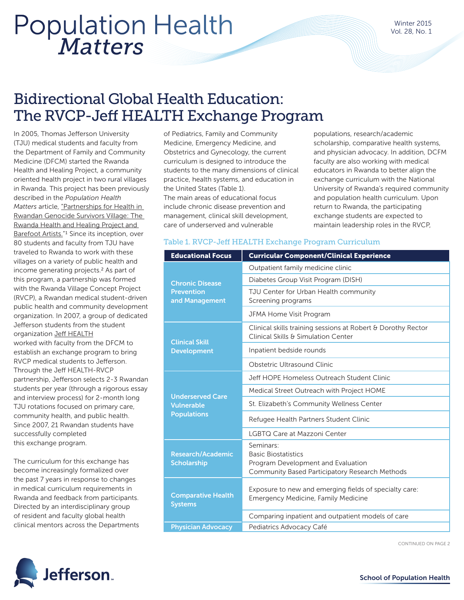# *Matters* Population Health

### Bidirectional Global Health Education: The RVCP-Jeff HEALTH Exchange Program

In 2005, Thomas Jefferson University (TJU) medical students and faculty from the Department of Family and Community Medicine (DFCM) started the Rwanda Health and Healing Project, a community oriented health project in two rural villages in Rwanda. This project has been previously described in the *Population Health Matters* article, ["Partnerships for Health in](http://jdc.jefferson.edu/cgi/viewcontent.cgi?article=1682&context=hpn)  [Rwandan Genocide Survivors Village: The](http://jdc.jefferson.edu/cgi/viewcontent.cgi?article=1682&context=hpn)  [Rwanda Health and Healing Project and](http://jdc.jefferson.edu/cgi/viewcontent.cgi?article=1682&context=hpn)  [Barefoot Artists.](http://jdc.jefferson.edu/cgi/viewcontent.cgi?article=1682&context=hpn)"1 Since its inception, over 80 students and faculty from TJU have traveled to Rwanda to work with these villages on a variety of public health and income generating projects.2 As part of this program, a partnership was formed with the Rwanda Village Concept Project (RVCP), a Rwandan medical student-driven public health and community development organization. In 2007, a group of dedicated Jefferson students from the student organization [Jeff HEALTH](https://jefferson.studioabroad.com/index.cfm?FuseAction=Programs.ViewProgram&Program_ID=27263) worked with faculty from the DFCM to establish an exchange program to bring RVCP medical students to Jefferson. Through the Jeff HEALTH-RVCP partnership, Jefferson selects 2-3 Rwandan students per year (through a rigorous essay and interview process) for 2-month long TJU rotations focused on primary care,

community health, and public health. Since 2007, 21 Rwandan students have successfully completed this exchange program.

The curriculum for this exchange has become increasingly formalized over the past 7 years in response to changes in medical curriculum requirements in Rwanda and feedback from participants. Directed by an interdisciplinary group of resident and faculty global health clinical mentors across the Departments

of Pediatrics, Family and Community Medicine, Emergency Medicine, and Obstetrics and Gynecology, the current curriculum is designed to introduce the students to the many dimensions of clinical practice, health systems, and education in the United States (Table 1). The main areas of educational focus include chronic disease prevention and management, clinical skill development,

care of underserved and vulnerable

populations, research/academic scholarship, comparative health systems, and physician advocacy. In addition, DCFM faculty are also working with medical educators in Rwanda to better align the exchange curriculum with the National University of Rwanda's required community and population health curriculum. Upon return to Rwanda, the participating exchange students are expected to maintain leadership roles in the RVCP,

#### Table 1. RVCP-Jeff HEALTH Exchange Program Curriculum

| <b>Educational Focus</b>                                           | <b>Curricular Component/Clinical Experience</b>                                                                                 |
|--------------------------------------------------------------------|---------------------------------------------------------------------------------------------------------------------------------|
| <b>Chronic Disease</b><br><b>Prevention</b><br>and Management      | Outpatient family medicine clinic                                                                                               |
|                                                                    | Diabetes Group Visit Program (DISH)                                                                                             |
|                                                                    | TJU Center for Urban Health community<br>Screening programs                                                                     |
|                                                                    | JFMA Home Visit Program                                                                                                         |
| <b>Clinical Skill</b><br><b>Development</b>                        | Clinical skills training sessions at Robert & Dorothy Rector<br>Clinical Skills & Simulation Center                             |
|                                                                    | Inpatient bedside rounds                                                                                                        |
|                                                                    | Obstetric Ultrasound Clinic                                                                                                     |
| <b>Underserved Care</b><br><b>Vulnerable</b><br><b>Populations</b> | Jeff HOPE Homeless Outreach Student Clinic                                                                                      |
|                                                                    | Medical Street Outreach with Project HOME                                                                                       |
|                                                                    | St. Elizabeth's Community Wellness Center                                                                                       |
|                                                                    | Refugee Health Partners Student Clinic                                                                                          |
|                                                                    | LGBTQ Care at Mazzoni Center                                                                                                    |
| Research/Academic<br><b>Scholarship</b>                            | Seminars:<br><b>Basic Biostatistics</b><br>Program Development and Evaluation<br>Community Based Participatory Research Methods |
| <b>Comparative Health</b><br><b>Systems</b>                        | Exposure to new and emerging fields of specialty care:<br>Emergency Medicine, Family Medicine                                   |
|                                                                    | Comparing inpatient and outpatient models of care                                                                               |
| <b>Physician Advocacy</b>                                          | Pediatrics Advocacy Café                                                                                                        |

CONTINUED ON PAGE 2